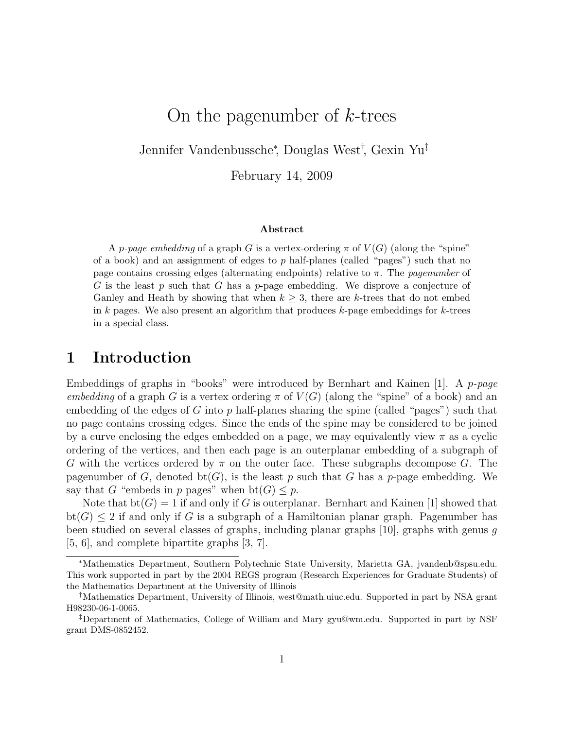# On the pagenumber of  $k$ -trees

Jennifer Vandenbussche<sup>∗</sup> , Douglas West† , Gexin Yu‡

February 14, 2009

#### Abstract

A p-page embedding of a graph G is a vertex-ordering  $\pi$  of  $V(G)$  (along the "spine" of a book) and an assignment of edges to  $p$  half-planes (called "pages") such that no page contains crossing edges (alternating endpoints) relative to  $\pi$ . The *pagenumber* of G is the least p such that G has a p-page embedding. We disprove a conjecture of Ganley and Heath by showing that when  $k \geq 3$ , there are k-trees that do not embed in k pages. We also present an algorithm that produces k-page embeddings for k-trees in a special class.

### 1 Introduction

Embeddings of graphs in "books" were introduced by Bernhart and Kainen [1]. A p-page embedding of a graph G is a vertex ordering  $\pi$  of  $V(G)$  (along the "spine" of a book) and an embedding of the edges of G into p half-planes sharing the spine (called "pages") such that no page contains crossing edges. Since the ends of the spine may be considered to be joined by a curve enclosing the edges embedded on a page, we may equivalently view  $\pi$  as a cyclic ordering of the vertices, and then each page is an outerplanar embedding of a subgraph of G with the vertices ordered by  $\pi$  on the outer face. These subgraphs decompose G. The pagenumber of G, denoted bt(G), is the least p such that G has a p-page embedding. We say that G "embeds in p pages" when  $bt(G) \leq p$ .

Note that  $bt(G) = 1$  if and only if G is outerplanar. Bernhart and Kainen [1] showed that  $bt(G) \leq 2$  if and only if G is a subgraph of a Hamiltonian planar graph. Pagenumber has been studied on several classes of graphs, including planar graphs [10], graphs with genus g [5, 6], and complete bipartite graphs [3, 7].

<sup>∗</sup>Mathematics Department, Southern Polytechnic State University, Marietta GA, jvandenb@spsu.edu. This work supported in part by the 2004 REGS program (Research Experiences for Graduate Students) of the Mathematics Department at the University of Illinois

<sup>†</sup>Mathematics Department, University of Illinois, west@math.uiuc.edu. Supported in part by NSA grant H98230-06-1-0065.

<sup>‡</sup>Department of Mathematics, College of William and Mary gyu@wm.edu. Supported in part by NSF grant DMS-0852452.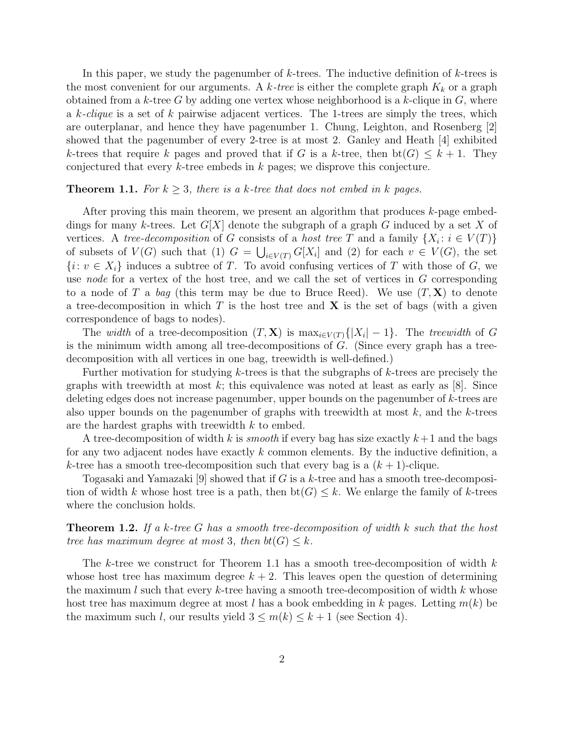In this paper, we study the pagenumber of  $k$ -trees. The inductive definition of  $k$ -trees is the most convenient for our arguments. A k-tree is either the complete graph  $K_k$  or a graph obtained from a k-tree G by adding one vertex whose neighborhood is a k-clique in  $G$ , where a k-clique is a set of k pairwise adjacent vertices. The 1-trees are simply the trees, which are outerplanar, and hence they have pagenumber 1. Chung, Leighton, and Rosenberg [2] showed that the pagenumber of every 2-tree is at most 2. Ganley and Heath [4] exhibited k-trees that require k pages and proved that if G is a k-tree, then  $bt(G) \leq k+1$ . They conjectured that every k-tree embeds in k pages; we disprove this conjecture.

#### **Theorem 1.1.** For  $k \geq 3$ , there is a k-tree that does not embed in k pages.

After proving this main theorem, we present an algorithm that produces k-page embeddings for many k-trees. Let  $G[X]$  denote the subgraph of a graph G induced by a set X of vertices. A tree-decomposition of G consists of a host tree T and a family  $\{X_i : i \in V(T)\}$ of subsets of  $V(G)$  such that (1)  $G = \bigcup_{i \in V(T)} G[X_i]$  and (2) for each  $v \in V(G)$ , the set  ${i: v \in X_i}$  induces a subtree of T. To avoid confusing vertices of T with those of G, we use node for a vertex of the host tree, and we call the set of vertices in G corresponding to a node of T a bag (this term may be due to Bruce Reed). We use  $(T, X)$  to denote a tree-decomposition in which  $T$  is the host tree and  $X$  is the set of bags (with a given correspondence of bags to nodes).

The *width* of a tree-decomposition  $(T, \mathbf{X})$  is  $\max_{i \in V(T)} \{ |X_i| - 1 \}$ . The treewidth of G is the minimum width among all tree-decompositions of  $G$ . (Since every graph has a treedecomposition with all vertices in one bag, treewidth is well-defined.)

Further motivation for studying k-trees is that the subgraphs of  $k$ -trees are precisely the graphs with treewidth at most k; this equivalence was noted at least as early as  $[8]$ . Since deleting edges does not increase pagenumber, upper bounds on the pagenumber of k-trees are also upper bounds on the pagenumber of graphs with treewidth at most  $k$ , and the  $k$ -trees are the hardest graphs with treewidth k to embed.

A tree-decomposition of width k is *smooth* if every bag has size exactly  $k+1$  and the bags for any two adjacent nodes have exactly  $k$  common elements. By the inductive definition, a k-tree has a smooth tree-decomposition such that every bag is a  $(k + 1)$ -clique.

Togasaki and Yamazaki [9] showed that if G is a k-tree and has a smooth tree-decomposition of width k whose host tree is a path, then  $bt(G) \leq k$ . We enlarge the family of k-trees where the conclusion holds.

**Theorem 1.2.** If a k-tree G has a smooth tree-decomposition of width k such that the host tree has maximum degree at most 3, then  $bt(G) \leq k$ .

The k-tree we construct for Theorem 1.1 has a smooth tree-decomposition of width  $k$ whose host tree has maximum degree  $k + 2$ . This leaves open the question of determining the maximum l such that every k-tree having a smooth tree-decomposition of width k whose host tree has maximum degree at most l has a book embedding in k pages. Letting  $m(k)$  be the maximum such l, our results yield  $3 \le m(k) \le k+1$  (see Section 4).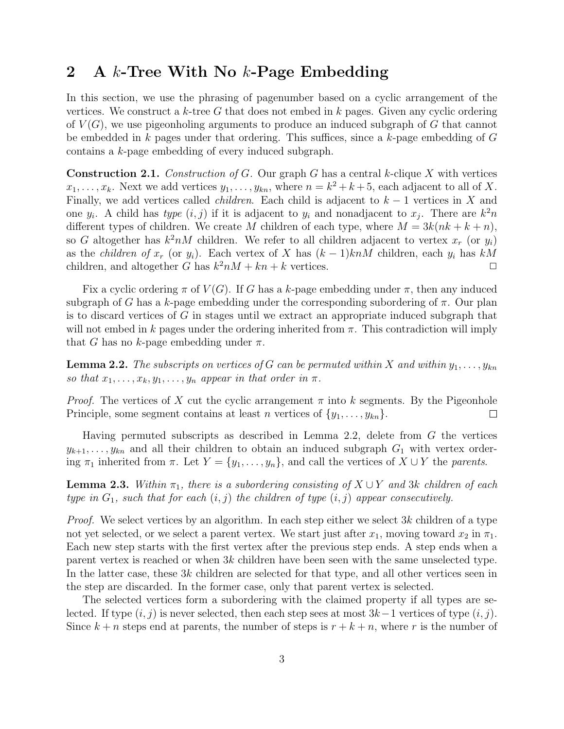## 2 A  $k$ -Tree With No  $k$ -Page Embedding

In this section, we use the phrasing of pagenumber based on a cyclic arrangement of the vertices. We construct a  $k$ -tree G that does not embed in  $k$  pages. Given any cyclic ordering of  $V(G)$ , we use pigeonholing arguments to produce an induced subgraph of G that cannot be embedded in k pages under that ordering. This suffices, since a k-page embedding of  $G$ contains a k-page embedding of every induced subgraph.

**Construction 2.1.** Construction of G. Our graph G has a central k-clique X with vertices  $x_1, \ldots, x_k$ . Next we add vertices  $y_1, \ldots, y_{kn}$ , where  $n = k^2 + k + 5$ , each adjacent to all of X. Finally, we add vertices called *children*. Each child is adjacent to  $k - 1$  vertices in X and one  $y_i$ . A child has type  $(i, j)$  if it is adjacent to  $y_i$  and nonadjacent to  $x_j$ . There are  $k^2n$ different types of children. We create M children of each type, where  $M = 3k(nk + k + n)$ , so G altogether has  $k^2 nM$  children. We refer to all children adjacent to vertex  $x_r$  (or  $y_i$ ) as the *children of*  $x_r$  (or  $y_i$ ). Each vertex of X has  $(k-1)knM$  children, each  $y_i$  has  $kM$  children, and altogether G has  $k^2nM + kn + k$  vertices children, and altogether G has  $k^2 nM + kn + k$  vertices.

Fix a cyclic ordering  $\pi$  of  $V(G)$ . If G has a k-page embedding under  $\pi$ , then any induced subgraph of G has a k-page embedding under the corresponding subordering of  $\pi$ . Our plan is to discard vertices of G in stages until we extract an appropriate induced subgraph that will not embed in k pages under the ordering inherited from  $\pi$ . This contradiction will imply that G has no k-page embedding under  $\pi$ .

**Lemma 2.2.** The subscripts on vertices of G can be permuted within X and within  $y_1, \ldots, y_{kn}$ so that  $x_1, \ldots, x_k, y_1, \ldots, y_n$  appear in that order in  $\pi$ .

*Proof.* The vertices of X cut the cyclic arrangement  $\pi$  into k segments. By the Pigeonhole Principle, some segment contains at least n vertices of  $\{y_1, \ldots, y_{kn}\}.$  $\Box$ 

Having permuted subscripts as described in Lemma 2.2, delete from G the vertices  $y_{k+1}, \ldots, y_{kn}$  and all their children to obtain an induced subgraph  $G_1$  with vertex ordering  $\pi_1$  inherited from  $\pi$ . Let  $Y = \{y_1, \ldots, y_n\}$ , and call the vertices of  $X \cup Y$  the parents.

**Lemma 2.3.** Within  $\pi_1$ , there is a subordering consisting of  $X \cup Y$  and 3k children of each type in  $G_1$ , such that for each  $(i, j)$  the children of type  $(i, j)$  appear consecutively.

*Proof.* We select vertices by an algorithm. In each step either we select  $3k$  children of a type not yet selected, or we select a parent vertex. We start just after  $x_1$ , moving toward  $x_2$  in  $\pi_1$ . Each new step starts with the first vertex after the previous step ends. A step ends when a parent vertex is reached or when  $3k$  children have been seen with the same unselected type. In the latter case, these 3k children are selected for that type, and all other vertices seen in the step are discarded. In the former case, only that parent vertex is selected.

The selected vertices form a subordering with the claimed property if all types are selected. If type  $(i, j)$  is never selected, then each step sees at most  $3k-1$  vertices of type  $(i, j)$ . Since  $k + n$  steps end at parents, the number of steps is  $r + k + n$ , where r is the number of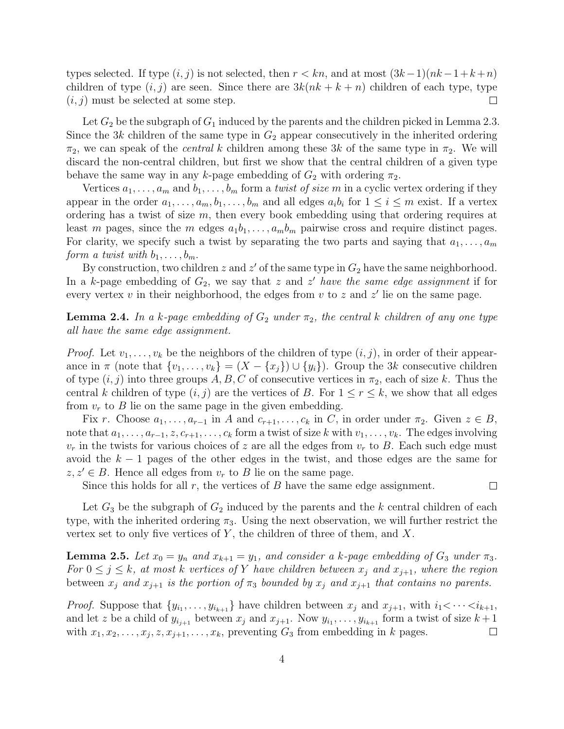types selected. If type  $(i, j)$  is not selected, then  $r < kn$ , and at most  $(3k-1)(nk-1+k+n)$ children of type  $(i, j)$  are seen. Since there are  $3k(nk + k + n)$  children of each type, type  $(i, j)$  must be selected at some step.  $\Box$ 

Let  $G_2$  be the subgraph of  $G_1$  induced by the parents and the children picked in Lemma 2.3. Since the 3k children of the same type in  $G_2$  appear consecutively in the inherited ordering  $\pi_2$ , we can speak of the *central k* children among these 3k of the same type in  $\pi_2$ . We will discard the non-central children, but first we show that the central children of a given type behave the same way in any k-page embedding of  $G_2$  with ordering  $\pi_2$ .

Vertices  $a_1, \ldots, a_m$  and  $b_1, \ldots, b_m$  form a *twist of size m* in a cyclic vertex ordering if they appear in the order  $a_1, \ldots, a_m, b_1, \ldots, b_m$  and all edges  $a_i b_i$  for  $1 \le i \le m$  exist. If a vertex ordering has a twist of size  $m$ , then every book embedding using that ordering requires at least m pages, since the m edges  $a_1b_1, \ldots, a_mb_m$  pairwise cross and require distinct pages. For clarity, we specify such a twist by separating the two parts and saying that  $a_1, \ldots, a_m$ form a twist with  $b_1, \ldots, b_m$ .

By construction, two children  $z$  and  $z'$  of the same type in  $G_2$  have the same neighborhood. In a k-page embedding of  $G_2$ , we say that z and z' have the same edge assignment if for every vertex  $v$  in their neighborhood, the edges from  $v$  to  $z$  and  $z'$  lie on the same page.

**Lemma 2.4.** In a k-page embedding of  $G_2$  under  $\pi_2$ , the central k children of any one type all have the same edge assignment.

*Proof.* Let  $v_1, \ldots, v_k$  be the neighbors of the children of type  $(i, j)$ , in order of their appearance in  $\pi$  (note that  $\{v_1, \ldots, v_k\} = (X - \{x_j\}) \cup \{y_i\}$ ). Group the 3k consecutive children of type  $(i, j)$  into three groups A, B, C of consecutive vertices in  $\pi_2$ , each of size k. Thus the central k children of type  $(i, j)$  are the vertices of B. For  $1 \le r \le k$ , we show that all edges from  $v_r$  to B lie on the same page in the given embedding.

Fix r. Choose  $a_1, \ldots, a_{r-1}$  in A and  $c_{r+1}, \ldots, c_k$  in C, in order under  $\pi_2$ . Given  $z \in B$ , note that  $a_1, \ldots, a_{r-1}, z, c_{r+1}, \ldots, c_k$  form a twist of size k with  $v_1, \ldots, v_k$ . The edges involving  $v_r$  in the twists for various choices of z are all the edges from  $v_r$  to B. Each such edge must avoid the  $k-1$  pages of the other edges in the twist, and those edges are the same for  $z, z' \in B$ . Hence all edges from  $v_r$  to B lie on the same page.

Since this holds for all  $r$ , the vertices of  $B$  have the same edge assignment.

 $\Box$ 

Let  $G_3$  be the subgraph of  $G_2$  induced by the parents and the k central children of each type, with the inherited ordering  $\pi_3$ . Using the next observation, we will further restrict the vertex set to only five vertices of  $Y$ , the children of three of them, and  $X$ .

**Lemma 2.5.** Let  $x_0 = y_n$  and  $x_{k+1} = y_1$ , and consider a k-page embedding of  $G_3$  under  $\pi_3$ . For  $0 \leq j \leq k$ , at most k vertices of Y have children between  $x_j$  and  $x_{j+1}$ , where the region between  $x_j$  and  $x_{j+1}$  is the portion of  $\pi_3$  bounded by  $x_j$  and  $x_{j+1}$  that contains no parents.

*Proof.* Suppose that  $\{y_{i_1}, \ldots, y_{i_{k+1}}\}$  have children between  $x_j$  and  $x_{j+1}$ , with  $i_1 < \cdots < i_{k+1}$ , and let z be a child of  $y_{i_{j+1}}$  between  $x_j$  and  $x_{j+1}$ . Now  $y_{i_1}, \ldots, y_{i_{k+1}}$  form a twist of size  $k+1$ with  $x_1, x_2, \ldots, x_j, z, x_{j+1}, \ldots, x_k$ , preventing  $G_3$  from embedding in k pages.  $\Box$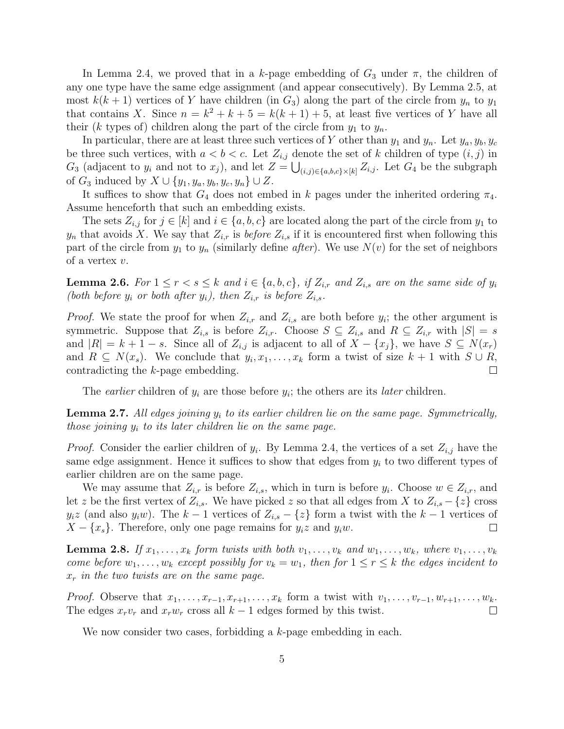In Lemma 2.4, we proved that in a k-page embedding of  $G_3$  under  $\pi$ , the children of any one type have the same edge assignment (and appear consecutively). By Lemma 2.5, at most  $k(k+1)$  vertices of Y have children (in  $G_3$ ) along the part of the circle from  $y_n$  to  $y_1$ that contains X. Since  $n = k^2 + k + 5 = k(k + 1) + 5$ , at least five vertices of Y have all their (k types of) children along the part of the circle from  $y_1$  to  $y_n$ .

In particular, there are at least three such vertices of Y other than  $y_1$  and  $y_n$ . Let  $y_a, y_b, y_c$ be three such vertices, with  $a < b < c$ . Let  $Z_{i,j}$  denote the set of k children of type  $(i, j)$  in  $G_3$  (adjacent to  $y_i$  and not to  $x_j$ ), and let  $Z = \bigcup_{(i,j)\in\{a,b,c\}\times[k]} Z_{i,j}$ . Let  $G_4$  be the subgraph of  $G_3$  induced by  $X \cup \{y_1, y_a, y_b, y_c, y_n\} \cup Z$ .

It suffices to show that  $G_4$  does not embed in k pages under the inherited ordering  $\pi_4$ . Assume henceforth that such an embedding exists.

The sets  $Z_{i,j}$  for  $j \in [k]$  and  $i \in \{a, b, c\}$  are located along the part of the circle from  $y_1$  to  $y_n$  that avoids X. We say that  $Z_{i,r}$  is *before*  $Z_{i,s}$  if it is encountered first when following this part of the circle from  $y_1$  to  $y_n$  (similarly define *after*). We use  $N(v)$  for the set of neighbors of a vertex v.

**Lemma 2.6.** For  $1 \leq r < s \leq k$  and  $i \in \{a, b, c\}$ , if  $Z_{i,r}$  and  $Z_{i,s}$  are on the same side of  $y_i$ (both before  $y_i$  or both after  $y_i$ ), then  $Z_{i,r}$  is before  $Z_{i,s}$ .

*Proof.* We state the proof for when  $Z_{i,r}$  and  $Z_{i,s}$  are both before  $y_i$ ; the other argument is symmetric. Suppose that  $Z_{i,s}$  is before  $Z_{i,r}$ . Choose  $S \subseteq Z_{i,s}$  and  $R \subseteq Z_{i,r}$  with  $|S| = s$ and  $|R| = k + 1 - s$ . Since all of  $Z_{i,j}$  is adjacent to all of  $X - \{x_j\}$ , we have  $S \subseteq N(x_r)$ and  $R \subseteq N(x_s)$ . We conclude that  $y_i, x_1, \ldots, x_k$  form a twist of size  $k + 1$  with  $S \cup R$ , contradicting the k-page embedding.

The *earlier* children of  $y_i$  are those before  $y_i$ ; the others are its *later* children.

**Lemma 2.7.** All edges joining  $y_i$  to its earlier children lie on the same page. Symmetrically, those joining  $y_i$  to its later children lie on the same page.

*Proof.* Consider the earlier children of  $y_i$ . By Lemma 2.4, the vertices of a set  $Z_{i,j}$  have the same edge assignment. Hence it suffices to show that edges from  $y_i$  to two different types of earlier children are on the same page.

We may assume that  $Z_{i,r}$  is before  $Z_{i,s}$ , which in turn is before  $y_i$ . Choose  $w \in Z_{i,r}$ , and let z be the first vertex of  $Z_{i,s}$ . We have picked z so that all edges from X to  $Z_{i,s} - \{z\}$  cross  $y_i z$  (and also  $y_i w$ ). The  $k - 1$  vertices of  $Z_{i,s} - \{z\}$  form a twist with the  $k - 1$  vertices of  $X - \{x_s\}$ . Therefore, only one page remains for  $y_i z$  and  $y_i w$ .  $X - \{x_s\}$ . Therefore, only one page remains for  $y_i z$  and  $y_i w$ .

**Lemma 2.8.** If  $x_1, \ldots, x_k$  form twists with both  $v_1, \ldots, v_k$  and  $w_1, \ldots, w_k$ , where  $v_1, \ldots, v_k$ come before  $w_1, \ldots, w_k$  except possibly for  $v_k = w_1$ , then for  $1 \le r \le k$  the edges incident to  $x_r$  in the two twists are on the same page.

*Proof.* Observe that  $x_1, \ldots, x_{r-1}, x_{r+1}, \ldots, x_k$  form a twist with  $v_1, \ldots, v_{r-1}, w_{r+1}, \ldots, w_k$ . The edges  $x_r v_r$  and  $x_r w_r$  cross all  $k-1$  edges formed by this twist.  $\Box$ 

We now consider two cases, forbidding a k-page embedding in each.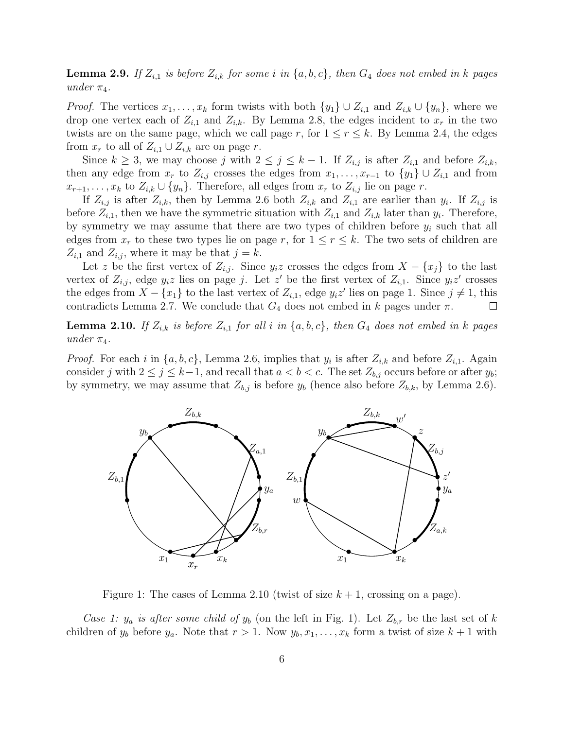**Lemma 2.9.** If  $Z_{i,1}$  is before  $Z_{i,k}$  for some i in  $\{a, b, c\}$ , then  $G_4$  does not embed in k pages under  $\pi_4$ .

*Proof.* The vertices  $x_1, \ldots, x_k$  form twists with both  $\{y_1\} \cup Z_{i,1}$  and  $Z_{i,k} \cup \{y_n\}$ , where we drop one vertex each of  $Z_{i,1}$  and  $Z_{i,k}$ . By Lemma 2.8, the edges incident to  $x_r$  in the two twists are on the same page, which we call page r, for  $1 \le r \le k$ . By Lemma 2.4, the edges from  $x_r$  to all of  $Z_{i,1} \cup Z_{i,k}$  are on page r.

Since  $k \geq 3$ , we may choose j with  $2 \leq j \leq k-1$ . If  $Z_{i,j}$  is after  $Z_{i,1}$  and before  $Z_{i,k}$ , then any edge from  $x_r$  to  $Z_{i,j}$  crosses the edges from  $x_1, \ldots, x_{r-1}$  to  $\{y_1\} \cup Z_{i,1}$  and from  $x_{r+1}, \ldots, x_k$  to  $Z_{i,k} \cup \{y_n\}$ . Therefore, all edges from  $x_r$  to  $Z_{i,j}$  lie on page r.

If  $Z_{i,j}$  is after  $Z_{i,k}$ , then by Lemma 2.6 both  $Z_{i,k}$  and  $Z_{i,1}$  are earlier than  $y_i$ . If  $Z_{i,j}$  is before  $Z_{i,1}$ , then we have the symmetric situation with  $Z_{i,1}$  and  $Z_{i,k}$  later than  $y_i$ . Therefore, by symmetry we may assume that there are two types of children before  $y_i$  such that all edges from  $x_r$  to these two types lie on page r, for  $1 \leq r \leq k$ . The two sets of children are  $Z_{i,1}$  and  $Z_{i,j}$ , where it may be that  $j = k$ .

Let z be the first vertex of  $Z_{i,j}$ . Since  $y_i z$  crosses the edges from  $X - \{x_j\}$  to the last vertex of  $Z_{i,j}$ , edge  $y_i z$  lies on page j. Let  $z'$  be the first vertex of  $Z_{i,1}$ . Since  $y_i z'$  crosses the edges from  $X - \{x_1\}$  to the last vertex of  $Z_{i,1}$ , edge  $y_i z'$  lies on page 1. Since  $j \neq 1$ , this contradicts Lemma 2.7. We conclude that  $G_4$  does not embed in k pages under  $\pi$ .

**Lemma 2.10.** If  $Z_{i,k}$  is before  $Z_{i,1}$  for all i in  $\{a, b, c\}$ , then  $G_4$  does not embed in k pages under  $\pi_4$ .

*Proof.* For each i in  $\{a, b, c\}$ , Lemma 2.6, implies that  $y_i$  is after  $Z_{i,k}$  and before  $Z_{i,1}$ . Again consider j with  $2 \le j \le k-1$ , and recall that  $a < b < c$ . The set  $Z_{b,j}$  occurs before or after  $y_b$ ; by symmetry, we may assume that  $Z_{b,j}$  is before  $y_b$  (hence also before  $Z_{b,k}$ , by Lemma 2.6).



Figure 1: The cases of Lemma 2.10 (twist of size  $k + 1$ , crossing on a page).

Case 1:  $y_a$  is after some child of  $y_b$  (on the left in Fig. 1). Let  $Z_{b,r}$  be the last set of k children of  $y_b$  before  $y_a$ . Note that  $r > 1$ . Now  $y_b, x_1, \ldots, x_k$  form a twist of size  $k + 1$  with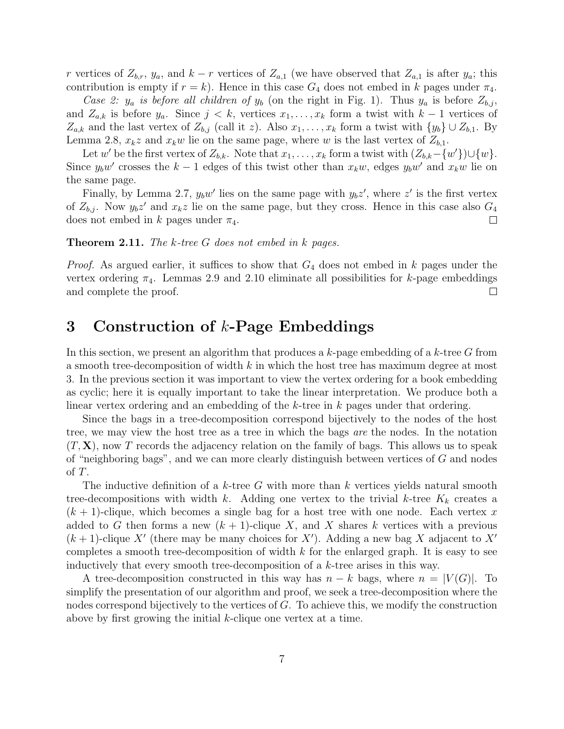r vertices of  $Z_{b,r}$ ,  $y_a$ , and  $k - r$  vertices of  $Z_{a,1}$  (we have observed that  $Z_{a,1}$  is after  $y_a$ ; this contribution is empty if  $r = k$ ). Hence in this case  $G_4$  does not embed in k pages under  $\pi_4$ .

Case 2:  $y_a$  is before all children of  $y_b$  (on the right in Fig. 1). Thus  $y_a$  is before  $Z_{b,i}$ , and  $Z_{a,k}$  is before  $y_a$ . Since  $j < k$ , vertices  $x_1, \ldots, x_k$  form a twist with  $k-1$  vertices of  $Z_{a,k}$  and the last vertex of  $Z_{b,j}$  (call it z). Also  $x_1, \ldots, x_k$  form a twist with  $\{y_b\} \cup Z_{b,1}$ . By Lemma 2.8,  $x_k z$  and  $x_k w$  lie on the same page, where w is the last vertex of  $Z_{b,1}$ .

Let w' be the first vertex of  $Z_{b,k}$ . Note that  $x_1, \ldots, x_k$  form a twist with  $(Z_{b,k} - \{w'\}) \cup \{w\}$ . Since  $y_bw'$  crosses the  $k-1$  edges of this twist other than  $x_kw$ , edges  $y_bw'$  and  $x_kw$  lie on the same page.

Finally, by Lemma 2.7,  $y_b w'$  lies on the same page with  $y_b z'$ , where  $z'$  is the first vertex of  $Z_{b,j}$ . Now  $y_b z'$  and  $x_k z$  lie on the same page, but they cross. Hence in this case also  $G_4$ does not embed in k pages under  $\pi_4$ .  $\Box$ 

#### **Theorem 2.11.** The k-tree  $G$  does not embed in k pages.

*Proof.* As argued earlier, it suffices to show that  $G_4$  does not embed in k pages under the vertex ordering  $\pi_4$ . Lemmas 2.9 and 2.10 eliminate all possibilities for k-page embeddings and complete the proof.  $\Box$ 

### 3 Construction of k-Page Embeddings

In this section, we present an algorithm that produces a  $k$ -page embedding of a  $k$ -tree G from a smooth tree-decomposition of width  $k$  in which the host tree has maximum degree at most 3. In the previous section it was important to view the vertex ordering for a book embedding as cyclic; here it is equally important to take the linear interpretation. We produce both a linear vertex ordering and an embedding of the k-tree in k pages under that ordering.

Since the bags in a tree-decomposition correspond bijectively to the nodes of the host tree, we may view the host tree as a tree in which the bags are the nodes. In the notation  $(T, X)$ , now T records the adjacency relation on the family of bags. This allows us to speak of "neighboring bags", and we can more clearly distinguish between vertices of  $G$  and nodes of T.

The inductive definition of a k-tree G with more than k vertices yields natural smooth tree-decompositions with width k. Adding one vertex to the trivial k-tree  $K_k$  creates a  $(k + 1)$ -clique, which becomes a single bag for a host tree with one node. Each vertex x added to G then forms a new  $(k + 1)$ -clique X, and X shares k vertices with a previous  $(k+1)$ -clique X' (there may be many choices for X'). Adding a new bag X adjacent to X' completes a smooth tree-decomposition of width  $k$  for the enlarged graph. It is easy to see inductively that every smooth tree-decomposition of a k-tree arises in this way.

A tree-decomposition constructed in this way has  $n - k$  bags, where  $n = |V(G)|$ . To simplify the presentation of our algorithm and proof, we seek a tree-decomposition where the nodes correspond bijectively to the vertices of G. To achieve this, we modify the construction above by first growing the initial k-clique one vertex at a time.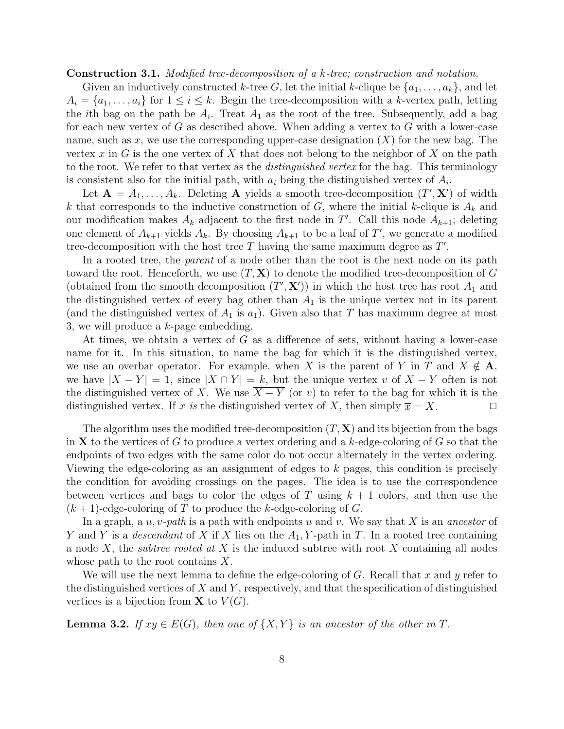Construction 3.1. Modified tree-decomposition of a k-tree; construction and notation.

Given an inductively constructed k-tree G, let the initial k-clique be  $\{a_1, \ldots, a_k\}$ , and let  $A_i = \{a_1, \ldots, a_i\}$  for  $1 \leq i \leq k$ . Begin the tree-decomposition with a k-vertex path, letting the *i*th bag on the path be  $A_i$ . Treat  $A_1$  as the root of the tree. Subsequently, add a bag for each new vertex of  $G$  as described above. When adding a vertex to  $G$  with a lower-case name, such as x, we use the corresponding upper-case designation  $(X)$  for the new bag. The vertex x in G is the one vertex of X that does not belong to the neighbor of X on the path to the root. We refer to that vertex as the *distinguished vertex* for the bag. This terminology is consistent also for the initial path, with  $a_i$  being the distinguished vertex of  $A_i$ .

Let  $\mathbf{A} = A_1, \ldots, A_k$ . Deleting **A** yields a smooth tree-decomposition  $(T', \mathbf{X}')$  of width k that corresponds to the inductive construction of G, where the initial k-clique is  $A_k$  and our modification makes  $A_k$  adjacent to the first node in T'. Call this node  $A_{k+1}$ ; deleting one element of  $A_{k+1}$  yields  $A_k$ . By choosing  $A_{k+1}$  to be a leaf of T', we generate a modified tree-decomposition with the host tree  $T$  having the same maximum degree as  $T'$ .

In a rooted tree, the *parent* of a node other than the root is the next node on its path toward the root. Henceforth, we use  $(T, X)$  to denote the modified tree-decomposition of G (obtained from the smooth decomposition  $(T', \mathbf{X}')$ ) in which the host tree has root  $A_1$  and the distinguished vertex of every bag other than  $A_1$  is the unique vertex not in its parent (and the distinguished vertex of  $A_1$  is  $a_1$ ). Given also that T has maximum degree at most 3, we will produce a k-page embedding.

At times, we obtain a vertex of G as a difference of sets, without having a lower-case name for it. In this situation, to name the bag for which it is the distinguished vertex, we use an overbar operator. For example, when X is the parent of Y in T and  $X \notin A$ , we have  $|X - Y| = 1$ , since  $|X \cap Y| = k$ , but the unique vertex v of  $X - Y$  often is not the distinguished vertex of X. We use  $\overline{X - Y}$  (or  $\overline{v}$ ) to refer to the bag for which it is the distinguished vertex. If x is the distinguished vertex of X, then simply  $\overline{x} = X$ . distinguished vertex. If x is the distinguished vertex of X, then simply  $\overline{x} = X$ .

The algorithm uses the modified tree-decomposition  $(T, X)$  and its bijection from the bags in **X** to the vertices of G to produce a vertex ordering and a k-edge-coloring of G so that the endpoints of two edges with the same color do not occur alternately in the vertex ordering. Viewing the edge-coloring as an assignment of edges to k pages, this condition is precisely the condition for avoiding crossings on the pages. The idea is to use the correspondence between vertices and bags to color the edges of T using  $k + 1$  colors, and then use the  $(k+1)$ -edge-coloring of T to produce the k-edge-coloring of G.

In a graph, a  $u, v$ -path is a path with endpoints u and v. We say that X is an ancestor of Y and Y is a descendant of X if X lies on the  $A_1, Y$ -path in T. In a rooted tree containing a node X, the *subtree rooted at X* is the induced subtree with root X containing all nodes whose path to the root contains  $X$ .

We will use the next lemma to define the edge-coloring of  $G$ . Recall that x and y refer to the distinguished vertices of  $X$  and  $Y$ , respectively, and that the specification of distinguished vertices is a bijection from **X** to  $V(G)$ .

**Lemma 3.2.** If  $xy \in E(G)$ , then one of  $\{X, Y\}$  is an ancestor of the other in T.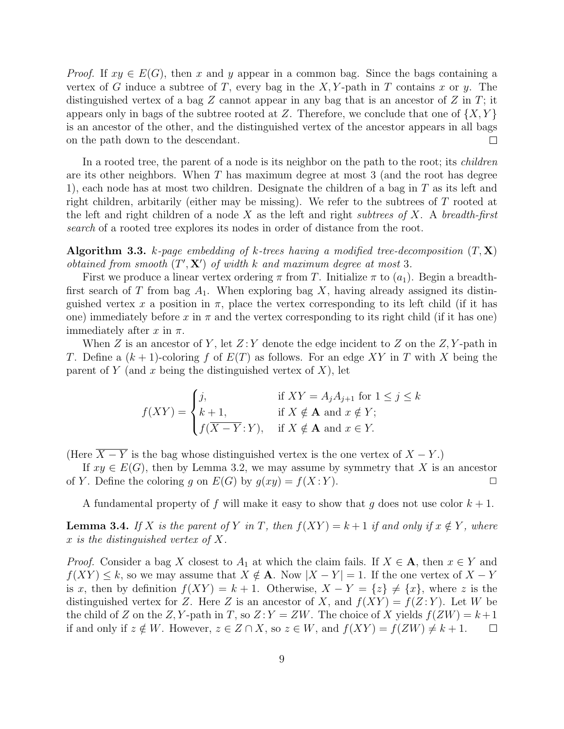*Proof.* If  $xy \in E(G)$ , then x and y appear in a common bag. Since the bags containing a vertex of G induce a subtree of T, every bag in the X, Y-path in T contains x or y. The distinguished vertex of a bag  $Z$  cannot appear in any bag that is an ancestor of  $Z$  in  $T$ ; it appears only in bags of the subtree rooted at Z. Therefore, we conclude that one of  $\{X, Y\}$ is an ancestor of the other, and the distinguished vertex of the ancestor appears in all bags on the path down to the descendant.  $\Box$ 

In a rooted tree, the parent of a node is its neighbor on the path to the root; its *children* are its other neighbors. When T has maximum degree at most 3 (and the root has degree 1), each node has at most two children. Designate the children of a bag in  $T$  as its left and right children, arbitarily (either may be missing). We refer to the subtrees of T rooted at the left and right children of a node X as the left and right subtrees of X. A breadth-first search of a rooted tree explores its nodes in order of distance from the root.

**Algorithm 3.3.** k-page embedding of k-trees having a modified tree-decomposition  $(T, \mathbf{X})$ obtained from smooth  $(T', X')$  of width k and maximum degree at most 3.

First we produce a linear vertex ordering  $\pi$  from T. Initialize  $\pi$  to  $(a_1)$ . Begin a breadthfirst search of T from bag  $A_1$ . When exploring bag X, having already assigned its distinguished vertex x a position in  $\pi$ , place the vertex corresponding to its left child (if it has one) immediately before x in  $\pi$  and the vertex corresponding to its right child (if it has one) immediately after x in  $\pi$ .

When  $Z$  is an ancestor of Y, let  $Z:Y$  denote the edge incident to  $Z$  on the  $Z, Y$ -path in T. Define a  $(k + 1)$ -coloring f of  $E(T)$  as follows. For an edge XY in T with X being the parent of Y (and x being the distinguished vertex of X), let

$$
f(XY) = \begin{cases} j, & \text{if } XY = A_j A_{j+1} \text{ for } 1 \le j \le k \\ k+1, & \text{if } X \notin \mathbf{A} \text{ and } x \notin Y; \\ f(\overline{X - Y}; Y), & \text{if } X \notin \mathbf{A} \text{ and } x \in Y. \end{cases}
$$

(Here  $\overline{X - Y}$  is the bag whose distinguished vertex is the one vertex of  $X - Y$ .)

If  $xy \in E(G)$ , then by Lemma 3.2, we may assume by symmetry that X is an ancestor  $\angle$ . Define the coloring q on  $E(G)$  by  $g(xy) = f(X;Y)$ . of Y. Define the coloring g on  $E(G)$  by  $g(xy) = f(X:Y)$ .

A fundamental property of f will make it easy to show that g does not use color  $k + 1$ .

**Lemma 3.4.** If X is the parent of Y in T, then  $f(XY) = k + 1$  if and only if  $x \notin Y$ , where x is the distinguished vertex of X.

*Proof.* Consider a bag X closest to  $A_1$  at which the claim fails. If  $X \in \mathbf{A}$ , then  $x \in Y$  and  $f(XY) \leq k$ , so we may assume that  $X \notin \mathbf{A}$ . Now  $|X - Y| = 1$ . If the one vertex of  $X - Y$ is x, then by definition  $f(XY) = k + 1$ . Otherwise,  $X - Y = \{z\} \neq \{x\}$ , where z is the distinguished vertex for Z. Here Z is an ancestor of X, and  $f(XY) = f(Z:Y)$ . Let W be the child of Z on the Z, Y-path in T, so  $Z: Y = ZW$ . The choice of X yields  $f(ZW) = k+1$ if and only if  $z \notin W$ . However,  $z \in Z \cap X$ , so  $z \in W$ , and  $f(XY) = f(ZW) \neq k+1$ .  $\Box$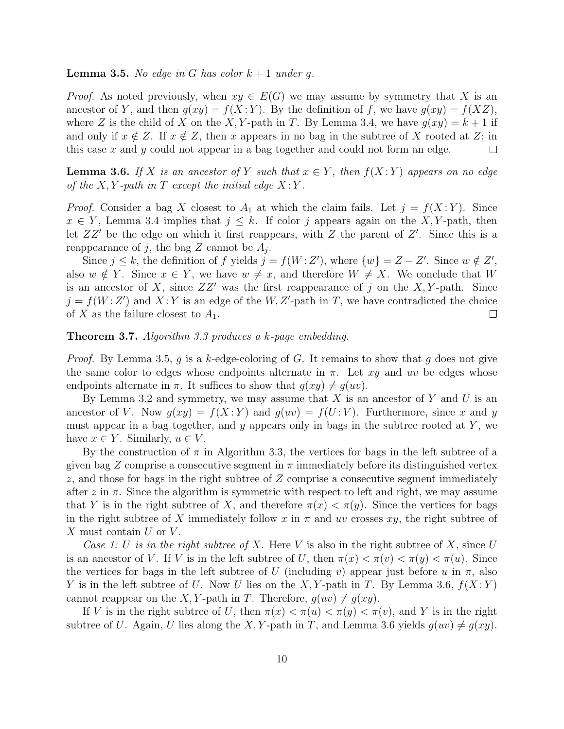**Lemma 3.5.** No edge in G has color  $k + 1$  under g.

*Proof.* As noted previously, when  $xy \in E(G)$  we may assume by symmetry that X is an ancestor of Y, and then  $g(xy) = f(X:Y)$ . By the definition of f, we have  $g(xy) = f(XZ)$ , where Z is the child of X on the X, Y-path in T. By Lemma 3.4, we have  $g(xy) = k + 1$  if and only if  $x \notin Z$ . If  $x \notin Z$ , then x appears in no bag in the subtree of X rooted at Z; in this case x and y could not appear in a bag together and could not form an edge. this case  $x$  and  $y$  could not appear in a bag together and could not form an edge.

**Lemma 3.6.** If X is an ancestor of Y such that  $x \in Y$ , then  $f(X:Y)$  appears on no edge of the  $X, Y$ -path in T except the initial edge  $X:Y$ .

*Proof.* Consider a bag X closest to  $A_1$  at which the claim fails. Let  $j = f(X; Y)$ . Since  $x \in Y$ , Lemma 3.4 implies that  $j \leq k$ . If color j appears again on the X, Y-path, then let  $ZZ'$  be the edge on which it first reappears, with  $Z$  the parent of  $Z'$ . Since this is a reappearance of j, the bag Z cannot be  $A_j$ .

Since  $j \leq k$ , the definition of f yields  $j = f(W : Z')$ , where  $\{w\} = Z - Z'$ . Since  $w \notin Z'$ , also  $w \notin Y$ . Since  $x \in Y$ , we have  $w \neq x$ , and therefore  $W \neq X$ . We conclude that W is an ancestor of X, since  $ZZ'$  was the first reappearance of j on the X, Y-path. Since  $j = f(W:Z')$  and  $X:Y$  is an edge of the W, Z'-path in T, we have contradicted the choice of X as the failure closest to  $A_1$ .  $\Box$ 

Theorem 3.7. Algorithm 3.3 produces a k-page embedding.

*Proof.* By Lemma 3.5, g is a k-edge-coloring of G. It remains to show that g does not give the same color to edges whose endpoints alternate in  $\pi$ . Let xy and uv be edges whose endpoints alternate in  $\pi$ . It suffices to show that  $q(xy) \neq q(w)$ .

By Lemma 3.2 and symmetry, we may assume that X is an ancestor of Y and U is an ancestor of V. Now  $g(xy) = f(X:Y)$  and  $g(uv) = f(U:V)$ . Furthermore, since x and y must appear in a bag together, and  $y$  appears only in bags in the subtree rooted at  $Y$ , we have  $x \in Y$ . Similarly,  $u \in V$ .

By the construction of  $\pi$  in Algorithm 3.3, the vertices for bags in the left subtree of a given bag Z comprise a consecutive segment in  $\pi$  immediately before its distinguished vertex  $z$ , and those for bags in the right subtree of  $Z$  comprise a consecutive segment immediately after z in  $\pi$ . Since the algorithm is symmetric with respect to left and right, we may assume that Y is in the right subtree of X, and therefore  $\pi(x) < \pi(y)$ . Since the vertices for bags in the right subtree of X immediately follow x in  $\pi$  and uv crosses xy, the right subtree of  $X$  must contain  $U$  or  $V$ .

Case 1: U is in the right subtree of X. Here V is also in the right subtree of X, since U is an ancestor of V. If V is in the left subtree of U, then  $\pi(x) < \pi(v) < \pi(y) < \pi(u)$ . Since the vertices for bags in the left subtree of U (including v) appear just before u in  $\pi$ , also Y is in the left subtree of U. Now U lies on the X, Y-path in T. By Lemma 3.6,  $f(X:Y)$ cannot reappear on the X, Y-path in T. Therefore,  $q(uv) \neq q(xy)$ .

If V is in the right subtree of U, then  $\pi(x) < \pi(u) < \pi(y) < \pi(v)$ , and Y is in the right subtree of U. Again, U lies along the X, Y-path in T, and Lemma 3.6 yields  $q(w) \neq q(xy)$ .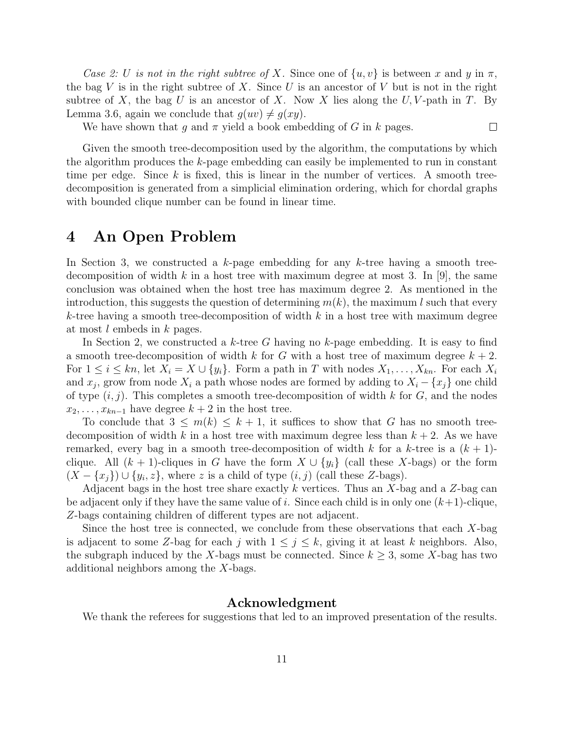Case 2: U is not in the right subtree of X. Since one of  $\{u, v\}$  is between x and y in  $\pi$ , the bag V is in the right subtree of X. Since U is an ancestor of V but is not in the right subtree of X, the bag U is an ancestor of X. Now X lies along the U, V-path in T. By Lemma 3.6, again we conclude that  $q(uv) \neq q(xy)$ .

We have shown that g and  $\pi$  yield a book embedding of G in k pages.

 $\Box$ 

Given the smooth tree-decomposition used by the algorithm, the computations by which the algorithm produces the k-page embedding can easily be implemented to run in constant time per edge. Since  $k$  is fixed, this is linear in the number of vertices. A smooth treedecomposition is generated from a simplicial elimination ordering, which for chordal graphs with bounded clique number can be found in linear time.

### 4 An Open Problem

In Section 3, we constructed a  $k$ -page embedding for any  $k$ -tree having a smooth treedecomposition of width k in a host tree with maximum degree at most 3. In [9], the same conclusion was obtained when the host tree has maximum degree 2. As mentioned in the introduction, this suggests the question of determining  $m(k)$ , the maximum l such that every  $k$ -tree having a smooth tree-decomposition of width k in a host tree with maximum degree at most l embeds in k pages.

In Section 2, we constructed a k-tree G having no k-page embedding. It is easy to find a smooth tree-decomposition of width k for G with a host tree of maximum degree  $k + 2$ . For  $1 \leq i \leq kn$ , let  $X_i = X \cup \{y_i\}$ . Form a path in T with nodes  $X_1, \ldots, X_{kn}$ . For each  $X_i$ and  $x_j$ , grow from node  $X_i$  a path whose nodes are formed by adding to  $X_i - \{x_j\}$  one child of type  $(i, j)$ . This completes a smooth tree-decomposition of width k for G, and the nodes  $x_2, \ldots, x_{kn-1}$  have degree  $k+2$  in the host tree.

To conclude that  $3 \leq m(k) \leq k+1$ , it suffices to show that G has no smooth treedecomposition of width k in a host tree with maximum degree less than  $k + 2$ . As we have remarked, every bag in a smooth tree-decomposition of width k for a k-tree is a  $(k + 1)$ clique. All  $(k + 1)$ -cliques in G have the form  $X \cup \{y_i\}$  (call these X-bags) or the form  $(X - \{x_j\}) \cup \{y_i, z\}$ , where z is a child of type  $(i, j)$  (call these Z-bags).

Adjacent bags in the host tree share exactly k vertices. Thus an  $X$ -bag and a  $Z$ -bag can be adjacent only if they have the same value of i. Since each child is in only one  $(k+1)$ -clique, Z-bags containing children of different types are not adjacent.

Since the host tree is connected, we conclude from these observations that each  $X$ -bag is adjacent to some Z-bag for each j with  $1 \leq j \leq k$ , giving it at least k neighbors. Also, the subgraph induced by the X-bags must be connected. Since  $k \geq 3$ , some X-bag has two additional neighbors among the X-bags.

#### Acknowledgment

We thank the referees for suggestions that led to an improved presentation of the results.